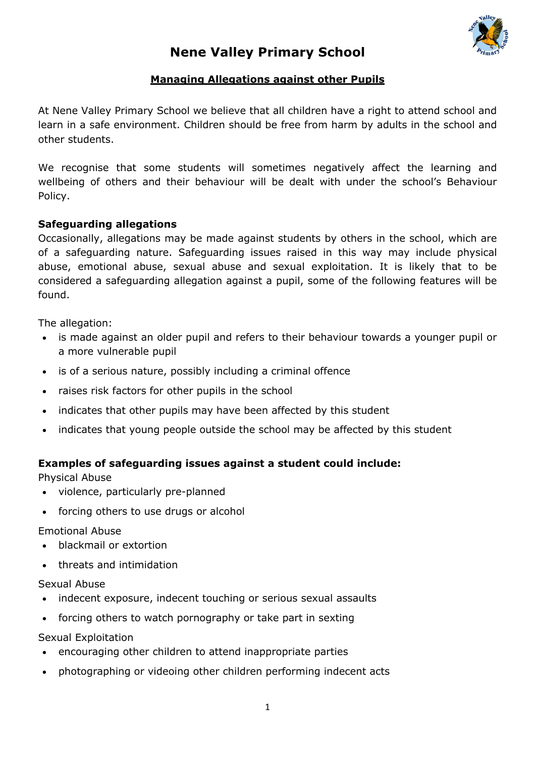

# **Nene Valley Primary School**

## **Managing Allegations against other Pupils**

At Nene Valley Primary School we believe that all children have a right to attend school and learn in a safe environment. Children should be free from harm by adults in the school and other students.

We recognise that some students will sometimes negatively affect the learning and wellbeing of others and their behaviour will be dealt with under the school's Behaviour Policy.

#### **Safeguarding allegations**

Occasionally, allegations may be made against students by others in the school, which are of a safeguarding nature. Safeguarding issues raised in this way may include physical abuse, emotional abuse, sexual abuse and sexual exploitation. It is likely that to be considered a safeguarding allegation against a pupil, some of the following features will be found.

The allegation:

- is made against an older pupil and refers to their behaviour towards a younger pupil or a more vulnerable pupil
- is of a serious nature, possibly including a criminal offence
- raises risk factors for other pupils in the school
- indicates that other pupils may have been affected by this student
- indicates that young people outside the school may be affected by this student

#### **Examples of safeguarding issues against a student could include:**

Physical Abuse

- violence, particularly pre-planned
- forcing others to use drugs or alcohol

Emotional Abuse

- blackmail or extortion
- threats and intimidation

#### Sexual Abuse

- indecent exposure, indecent touching or serious sexual assaults
- forcing others to watch pornography or take part in sexting

Sexual Exploitation

- encouraging other children to attend inappropriate parties
- photographing or videoing other children performing indecent acts